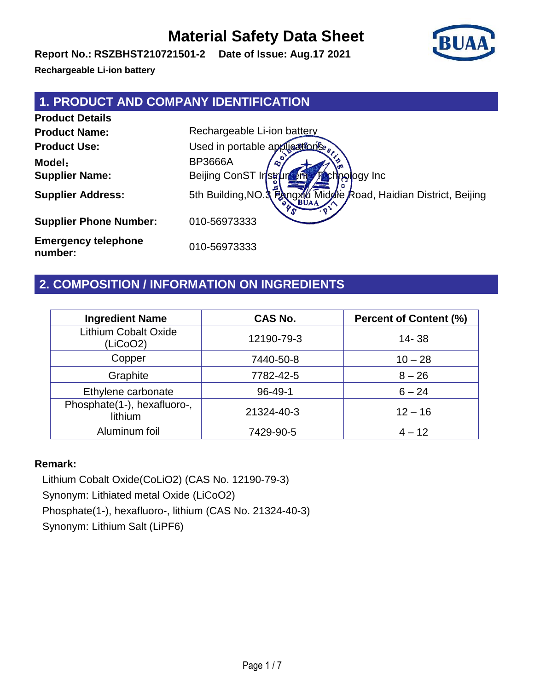**Report No.: RSZBHST210721501-2 Date of Issue: Aug.17 2021**

**Rechargeable Li-ion battery**

### **1. PRODUCT AND COMPANY IDENTIFICATION**

**Product Details Product Name:** Rechargeable Li-ion battery **Product Use:** Used in portable applications **Model**: BP3666A **Supplier Name:** Beijing ConST Instruments Technology Inc **Supplier Address:** 5th Building,NO.3 Fangxill Middle Road, Haidian District, Beijing **Supplier Phone Number:** 010-56973333 **Emergency telephone number:** 010-56973333

### **2. COMPOSITION / INFORMATION ON INGREDIENTS**

| <b>Ingredient Name</b>                  | <b>CAS No.</b> | <b>Percent of Content (%)</b> |
|-----------------------------------------|----------------|-------------------------------|
| <b>Lithium Cobalt Oxide</b><br>(LiCoO2) | 12190-79-3     | $14 - 38$                     |
| Copper                                  | 7440-50-8      | $10 - 28$                     |
| Graphite                                | 7782-42-5      | $8 - 26$                      |
| Ethylene carbonate                      | $96 - 49 - 1$  | $6 - 24$                      |
| Phosphate(1-), hexafluoro-,<br>lithium  | 21324-40-3     | $12 - 16$                     |
| Aluminum foil                           | 7429-90-5      | $4 - 12$                      |

#### **Remark:**

Lithium Cobalt Oxide(CoLiO2) (CAS No. 12190-79-3) Synonym: Lithiated metal Oxide (LiCoO2) Phosphate(1-), hexafluoro-, lithium (CAS No. 21324-40-3) Synonym: Lithium Salt (LiPF6)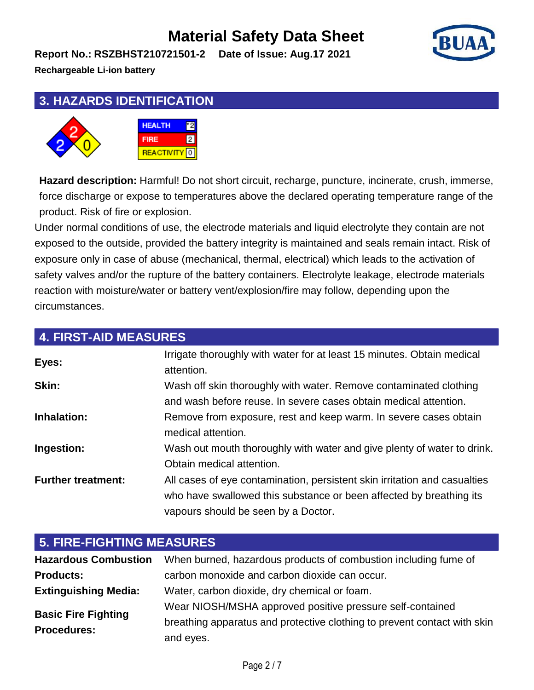**Report No.: RSZBHST210721501-2 Date of Issue: Aug.17 2021**



**Rechargeable Li-ion battery**

### **3. HAZARDS IDENTIFICATION**



**Hazard description:** Harmful! Do not short circuit, recharge, puncture, incinerate, crush, immerse, force discharge or expose to temperatures above the declared operating temperature range of the product. Risk of fire or explosion.

Under normal conditions of use, the electrode materials and liquid electrolyte they contain are not exposed to the outside, provided the battery integrity is maintained and seals remain intact. Risk of exposure only in case of abuse (mechanical, thermal, electrical) which leads to the activation of safety valves and/or the rupture of the battery containers. Electrolyte leakage, electrode materials reaction with moisture/water or battery vent/explosion/fire may follow, depending upon the circumstances.

| <b>4. FIRST-AID MEASURES</b> |                                                                                                                                                                                         |
|------------------------------|-----------------------------------------------------------------------------------------------------------------------------------------------------------------------------------------|
| Eyes:                        | Irrigate thoroughly with water for at least 15 minutes. Obtain medical<br>attention.                                                                                                    |
| Skin:                        | Wash off skin thoroughly with water. Remove contaminated clothing<br>and wash before reuse. In severe cases obtain medical attention.                                                   |
| Inhalation:                  | Remove from exposure, rest and keep warm. In severe cases obtain<br>medical attention.                                                                                                  |
| Ingestion:                   | Wash out mouth thoroughly with water and give plenty of water to drink.<br>Obtain medical attention.                                                                                    |
| <b>Further treatment:</b>    | All cases of eye contamination, persistent skin irritation and casualties<br>who have swallowed this substance or been affected by breathing its<br>vapours should be seen by a Doctor. |

| <b>5. FIRE-FIGHTING MEASURES</b> |                                                                          |  |
|----------------------------------|--------------------------------------------------------------------------|--|
| <b>Hazardous Combustion</b>      | When burned, hazardous products of combustion including fume of          |  |
| <b>Products:</b>                 | carbon monoxide and carbon dioxide can occur.                            |  |
| <b>Extinguishing Media:</b>      | Water, carbon dioxide, dry chemical or foam.                             |  |
| <b>Basic Fire Fighting</b>       | Wear NIOSH/MSHA approved positive pressure self-contained                |  |
| <b>Procedures:</b>               | breathing apparatus and protective clothing to prevent contact with skin |  |
|                                  | and eyes.                                                                |  |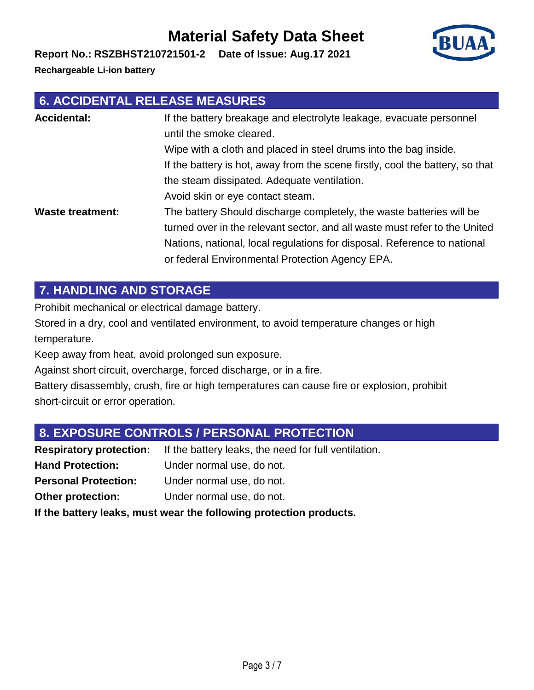**Report No.: RSZBHST210721501-2 Date of Issue: Aug.17 2021**

**Rechargeable Li-ion battery**

### **6. ACCIDENTAL RELEASE MEASURES**

| <b>Accidental:</b>      | If the battery breakage and electrolyte leakage, evacuate personnel<br>until the smoke cleared.                                                                                                                                                                                   |
|-------------------------|-----------------------------------------------------------------------------------------------------------------------------------------------------------------------------------------------------------------------------------------------------------------------------------|
|                         | Wipe with a cloth and placed in steel drums into the bag inside.                                                                                                                                                                                                                  |
|                         | If the battery is hot, away from the scene firstly, cool the battery, so that                                                                                                                                                                                                     |
|                         | the steam dissipated. Adequate ventilation.                                                                                                                                                                                                                                       |
|                         | Avoid skin or eye contact steam.                                                                                                                                                                                                                                                  |
| <b>Waste treatment:</b> | The battery Should discharge completely, the waste batteries will be<br>turned over in the relevant sector, and all waste must refer to the United<br>Nations, national, local regulations for disposal. Reference to national<br>or federal Environmental Protection Agency EPA. |

### **7. HANDLING AND STORAGE**

Prohibit mechanical or electrical damage battery.

Stored in a dry, cool and ventilated environment, to avoid temperature changes or high temperature.

Keep away from heat, avoid prolonged sun exposure.

Against short circuit, overcharge, forced discharge, or in a fire.

Battery disassembly, crush, fire or high temperatures can cause fire or explosion, prohibit short-circuit or error operation.

### **8. EXPOSURE CONTROLS / PERSONAL PROTECTION**

**Respiratory protection:** If the battery leaks, the need for full ventilation. **Hand Protection:** Under normal use, do not. **Personal Protection:** Under normal use, do not. **Other protection:** Under normal use, do not. **If the battery leaks, must wear the following protection products.**

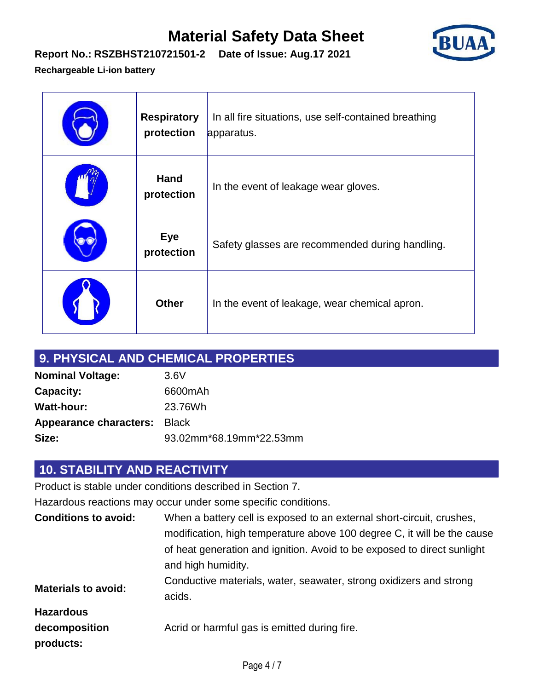

## **Report No.: RSZBHST210721501-2 Date of Issue: Aug.17 2021**

#### **Rechargeable Li-ion battery**

| <b>Respiratory</b><br>protection | In all fire situations, use self-contained breathing<br>apparatus. |
|----------------------------------|--------------------------------------------------------------------|
| <b>Hand</b><br>protection        | In the event of leakage wear gloves.                               |
| <b>Eye</b><br>protection         | Safety glasses are recommended during handling.                    |
| <b>Other</b>                     | In the event of leakage, wear chemical apron.                      |

|                                     | 9. PHYSICAL AND CHEMICAL PROPERTIES |
|-------------------------------------|-------------------------------------|
| <b>Nominal Voltage:</b>             | 3.6V                                |
| <b>Capacity:</b>                    | 6600mAh                             |
| <b>Watt-hour:</b>                   | 23.76Wh                             |
| <b>Appearance characters: Black</b> |                                     |
| Size:                               | 93.02mm*68.19mm*22.53mm             |

## **10. STABILITY AND REACTIVITY**

Product is stable under conditions described in Section 7.

Hazardous reactions may occur under some specific conditions.

| <b>Conditions to avoid:</b> | When a battery cell is exposed to an external short-circuit, crushes,                         |
|-----------------------------|-----------------------------------------------------------------------------------------------|
|                             | modification, high temperature above 100 degree C, it will be the cause                       |
|                             | of heat generation and ignition. Avoid to be exposed to direct sunlight<br>and high humidity. |
| <b>Materials to avoid:</b>  | Conductive materials, water, seawater, strong oxidizers and strong<br>acids.                  |
| <b>Hazardous</b>            |                                                                                               |
| decomposition<br>products:  | Acrid or harmful gas is emitted during fire.                                                  |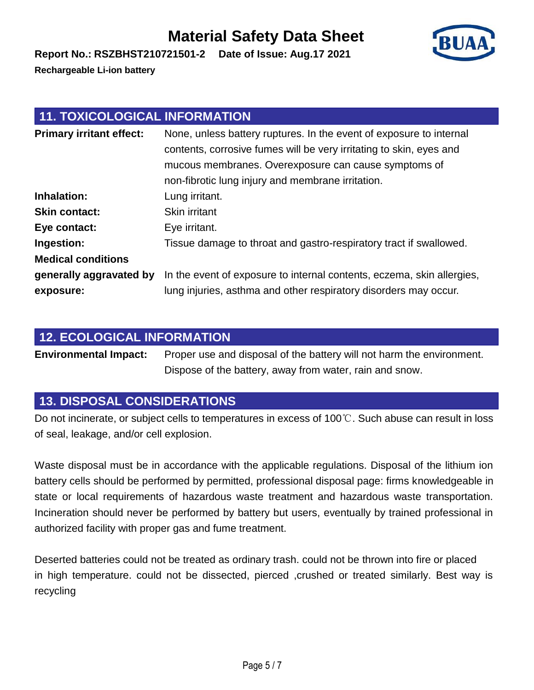**Report No.: RSZBHST210721501-2 Date of Issue: Aug.17 2021**

**Rechargeable Li-ion battery**

## **11. TOXICOLOGICAL INFORMATION**

| <b>Primary irritant effect:</b> | None, unless battery ruptures. In the event of exposure to internal<br>contents, corrosive fumes will be very irritating to skin, eyes and<br>mucous membranes. Overexposure can cause symptoms of<br>non-fibrotic lung injury and membrane irritation. |
|---------------------------------|---------------------------------------------------------------------------------------------------------------------------------------------------------------------------------------------------------------------------------------------------------|
| Inhalation:                     | Lung irritant.                                                                                                                                                                                                                                          |
| <b>Skin contact:</b>            | Skin irritant                                                                                                                                                                                                                                           |
| Eye contact:                    | Eye irritant.                                                                                                                                                                                                                                           |
| Ingestion:                      | Tissue damage to throat and gastro-respiratory tract if swallowed.                                                                                                                                                                                      |
| <b>Medical conditions</b>       |                                                                                                                                                                                                                                                         |
| generally aggravated by         | In the event of exposure to internal contents, eczema, skin allergies,                                                                                                                                                                                  |
| exposure:                       | lung injuries, asthma and other respiratory disorders may occur.                                                                                                                                                                                        |

### **12. ECOLOGICAL INFORMATION**

**Environmental Impact:** Proper use and disposal of the battery will not harm the environment. Dispose of the battery, away from water, rain and snow.

### **13. DISPOSAL CONSIDERATIONS**

Do not incinerate, or subject cells to temperatures in excess of 100℃. Such abuse can result in loss of seal, leakage, and/or cell explosion.

Waste disposal must be in accordance with the applicable regulations. Disposal of the lithium ion battery cells should be performed by permitted, professional disposal page: firms knowledgeable in state or local requirements of hazardous waste treatment and hazardous waste transportation. Incineration should never be performed by battery but users, eventually by trained professional in authorized facility with proper gas and fume treatment.

Deserted batteries could not be treated as ordinary trash. could not be thrown into fire or placed in high temperature. could not be dissected, pierced , crushed or treated similarly. Best way is recycling

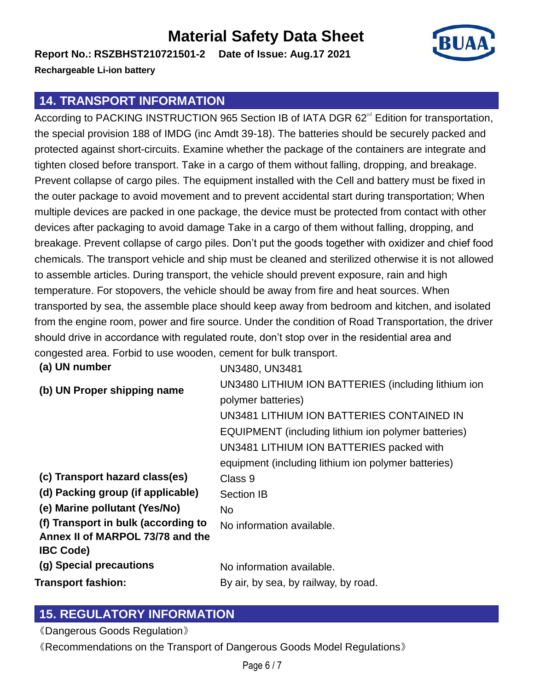**Report No.: RSZBHST210721501-2 Date of Issue: Aug.17 2021**



**Rechargeable Li-ion battery**

#### **14. TRANSPORT INFORMATION**

According to PACKING INSTRUCTION 965 Section IB of IATA DGR 62<sup>nd</sup> Edition for transportation, the special provision 188 of IMDG (inc Amdt 39-18). The batteries should be securely packed and protected against short-circuits. Examine whether the package of the containers are integrate and tighten closed before transport. Take in a cargo of them without falling, dropping, and breakage. Prevent collapse of cargo piles. The equipment installed with the Cell and battery must be fixed in the outer package to avoid movement and to prevent accidental start during transportation; When multiple devices are packed in one package, the device must be protected from contact with other devices after packaging to avoid damage Take in a cargo of them without falling, dropping, and breakage. Prevent collapse of cargo piles. Don't put the goods together with oxidizer and chief food chemicals. The transport vehicle and ship must be cleaned and sterilized otherwise it is not allowed to assemble articles. During transport, the vehicle should prevent exposure, rain and high temperature. For stopovers, the vehicle should be away from fire and heat sources. When transported by sea, the assemble place should keep away from bedroom and kitchen, and isolated from the engine room, power and fire source. Under the condition of Road Transportation, the driver should drive in accordance with regulated route, don't stop over in the residential area and congested area. Forbid to use wooden, cement for bulk transport.

| (a) UN number                       | UN3480, UN3481                                      |
|-------------------------------------|-----------------------------------------------------|
| (b) UN Proper shipping name         | UN3480 LITHIUM ION BATTERIES (including lithium ion |
|                                     | polymer batteries)                                  |
|                                     | UN3481 LITHIUM ION BATTERIES CONTAINED IN           |
|                                     | EQUIPMENT (including lithium ion polymer batteries) |
|                                     | UN3481 LITHIUM ION BATTERIES packed with            |
|                                     | equipment (including lithium ion polymer batteries) |
| (c) Transport hazard class(es)      | Class 9                                             |
| (d) Packing group (if applicable)   | <b>Section IB</b>                                   |
| (e) Marine pollutant (Yes/No)       | No.                                                 |
| (f) Transport in bulk (according to | No information available.                           |
| Annex II of MARPOL 73/78 and the    |                                                     |
| <b>IBC Code)</b>                    |                                                     |
| (g) Special precautions             | No information available.                           |
| Transport fashion:                  | By air, by sea, by railway, by road.                |

### **15. REGULATORY INFORMATION**

《Dangerous Goods Regulation》

《Recommendations on the Transport of Dangerous Goods Model Regulations》